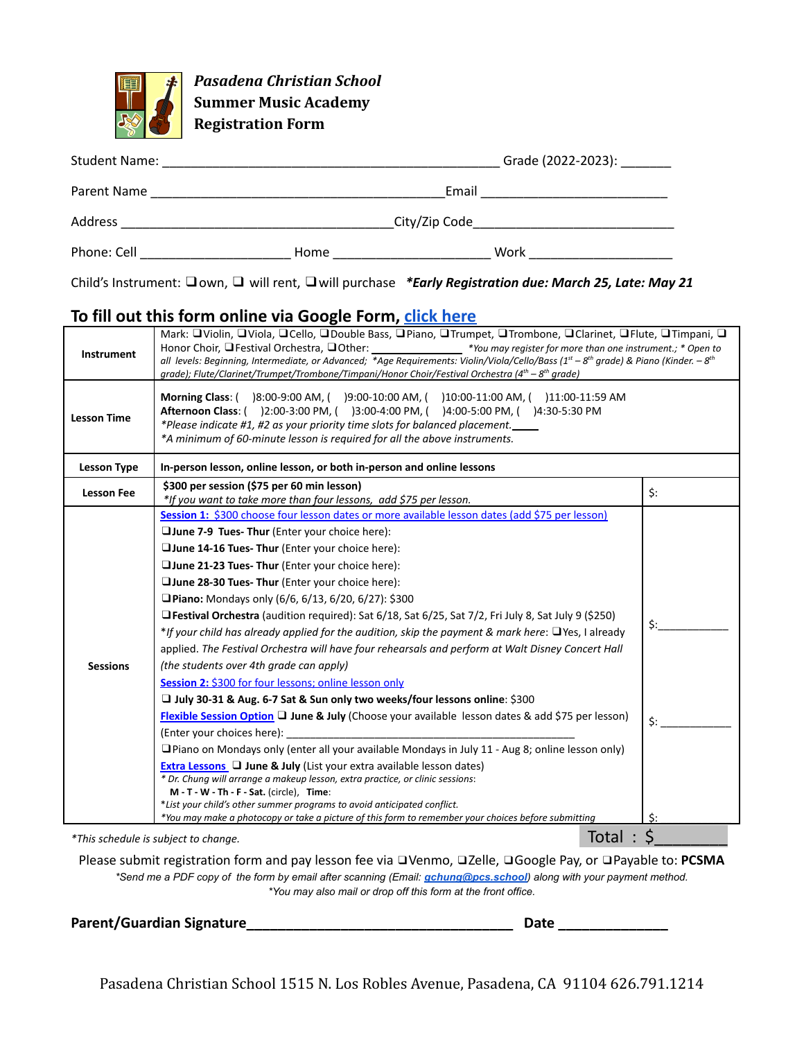

*Pasadena Christian School* **Summer Music Academy Registration Form**

| <b>Student Name:</b> |      |               | Grade (2022-2023): |
|----------------------|------|---------------|--------------------|
| Parent Name          |      | Email         |                    |
| Address              |      | City/Zip Code |                    |
| Phone: Cell          | Home | Work          |                    |

Child's Instrument: ❑own, ❑ will rent, ❑will purchase *\*Early Registration due: March 25, Late: May 21*

## **To fill out this form online via Google Form, click [here](https://docs.google.com/forms/d/e/1FAIpQLSc3dgXFc88gaNkrlvASvgbyIO2pHMHbSnkBh4JwEvvZI7Jx1g/viewform?usp=sf_link)**

| <b>Instrument</b>  | Mark: □ Violin, □ Viola, □ Cello, □ Double Bass, □ Piano, □ Trumpet, □ Trombone, □ Clarinet, □ Flute, □ Timpani, □<br>Honor Choir, La Festival Orchestra, La Other: _________________* You may register for more than one instrument.; * Open to<br>all levels: Beginning, Intermediate, or Advanced; *Age Requirements: Violin/Viola/Cello/Bass (1 <sup>st</sup> – 8 <sup>th</sup> grade) & Piano (Kinder. – 8 <sup>th</sup><br>grade); Flute/Clarinet/Trumpet/Trombone/Timpani/Honor Choir/Festival Orchestra (4 <sup>th</sup> - 8 <sup>th</sup> grade)                                                                                                                                                                                                                                                                                                                                                                                                                                                                                                                                                                                                                                                                                                                                                                                                                                                                                                                                                                                                           |                                      |
|--------------------|---------------------------------------------------------------------------------------------------------------------------------------------------------------------------------------------------------------------------------------------------------------------------------------------------------------------------------------------------------------------------------------------------------------------------------------------------------------------------------------------------------------------------------------------------------------------------------------------------------------------------------------------------------------------------------------------------------------------------------------------------------------------------------------------------------------------------------------------------------------------------------------------------------------------------------------------------------------------------------------------------------------------------------------------------------------------------------------------------------------------------------------------------------------------------------------------------------------------------------------------------------------------------------------------------------------------------------------------------------------------------------------------------------------------------------------------------------------------------------------------------------------------------------------------------------------------|--------------------------------------|
| <b>Lesson Time</b> | <b>Morning Class:</b> ()8:00-9:00 AM, ()9:00-10:00 AM, ()10:00-11:00 AM, ()11:00-11:59 AM<br>Afternoon Class: ( )2:00-3:00 PM, ( )3:00-4:00 PM, ( )4:00-5:00 PM, ( )4:30-5:30 PM<br>*Please indicate #1, #2 as your priority time slots for balanced placement.<br>*A minimum of 60-minute lesson is required for all the above instruments.                                                                                                                                                                                                                                                                                                                                                                                                                                                                                                                                                                                                                                                                                                                                                                                                                                                                                                                                                                                                                                                                                                                                                                                                                        |                                      |
| <b>Lesson Type</b> | In-person lesson, online lesson, or both in-person and online lessons                                                                                                                                                                                                                                                                                                                                                                                                                                                                                                                                                                                                                                                                                                                                                                                                                                                                                                                                                                                                                                                                                                                                                                                                                                                                                                                                                                                                                                                                                               |                                      |
| <b>Lesson Fee</b>  | \$300 per session (\$75 per 60 min lesson)<br>*If you want to take more than four lessons, add \$75 per lesson.                                                                                                                                                                                                                                                                                                                                                                                                                                                                                                                                                                                                                                                                                                                                                                                                                                                                                                                                                                                                                                                                                                                                                                                                                                                                                                                                                                                                                                                     | \$:                                  |
| <b>Sessions</b>    | Session 1: \$300 choose four lesson dates or more available lesson dates (add \$75 per lesson)<br>□ June 7-9 Tues- Thur (Enter your choice here):<br>□ June 14-16 Tues- Thur (Enter your choice here):<br>□ June 21-23 Tues- Thur (Enter your choice here):<br>□ June 28-30 Tues- Thur (Enter your choice here):<br><b>Piano:</b> Mondays only (6/6, 6/13, 6/20, 6/27): \$300<br>$\Box$ Festival Orchestra (audition required): Sat 6/18, Sat 6/25, Sat 7/2, Fri July 8, Sat July 9 (\$250)<br>*If your child has already applied for the audition, skip the payment & mark here: $\Box$ Yes, I already<br>applied. The Festival Orchestra will have four rehearsals and perform at Walt Disney Concert Hall<br>(the students over 4th grade can apply)<br>Session 2: \$300 for four lessons; online lesson only<br>□ July 30-31 & Aug. 6-7 Sat & Sun only two weeks/four lessons online: \$300<br><b>Flexible Session Option I June &amp; July (Choose your available lesson dates &amp; add \$75 per lesson)</b><br>(Enter your choices here):<br>$\Box$ Piano on Mondays only (enter all your available Mondays in July 11 - Aug 8; online lesson only)<br><b>Extra Lessons <math>\Box</math> June &amp; July (List your extra available lesson dates)</b><br>* Dr. Chung will arrange a makeup lesson, extra practice, or clinic sessions:<br>M-T-W-Th-F-Sat. (circle), Time:<br>*List your child's other summer programs to avoid anticipated conflict.<br>*You may make a photocopy or take a picture of this form to remember your choices before submitting | $\mathsf{S}:$<br>Ś:<br>$\mathsf{S}:$ |
|                    | Total<br>*This schedule is subject to change.                                                                                                                                                                                                                                                                                                                                                                                                                                                                                                                                                                                                                                                                                                                                                                                                                                                                                                                                                                                                                                                                                                                                                                                                                                                                                                                                                                                                                                                                                                                       | \$                                   |

Please submit registration form and pay lesson fee via ❑Venmo, ❑Zelle, ❑Google Pay, or ❑Payable to: **PCSMA** \*Send me a PDF copy of the form by email after scanning (Email: *[gchung@pcs.school](http://gchung@pcs.school)*) along with your payment method. *\*You may also mail or drop off this form at the front office.*

**Parent/Guardian Signature\_\_\_\_\_\_\_\_\_\_\_\_\_\_\_\_\_\_\_\_\_\_\_\_\_\_\_\_\_\_\_\_\_\_ Date \_\_\_\_\_\_\_\_\_\_\_\_\_\_**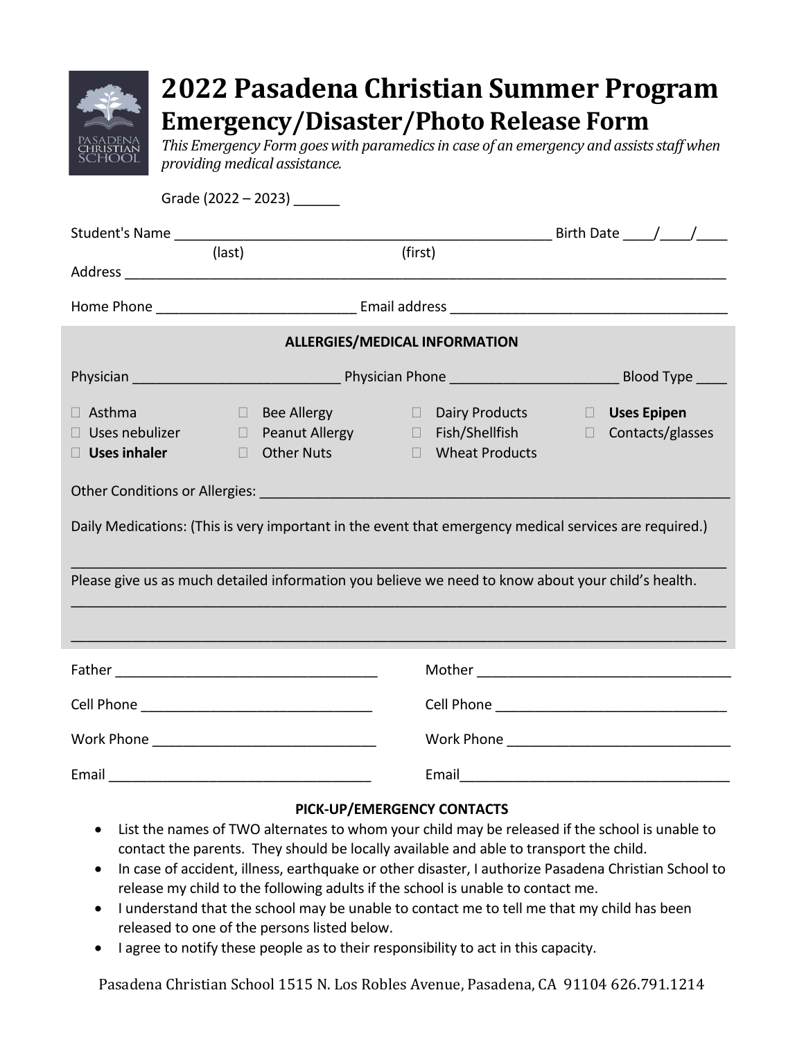|                                                               |        | providing medical assistance.<br>Grade $(2022 - 2023)$ _________ |                                      | <b>Emergency/Disaster/Photo Release Form</b>                                                           |  | 2022 Pasadena Christian Summer Program<br>This Emergency Form goes with paramedics in case of an emergency and assists staff when |  |  |
|---------------------------------------------------------------|--------|------------------------------------------------------------------|--------------------------------------|--------------------------------------------------------------------------------------------------------|--|-----------------------------------------------------------------------------------------------------------------------------------|--|--|
|                                                               |        |                                                                  |                                      |                                                                                                        |  |                                                                                                                                   |  |  |
|                                                               | (last) |                                                                  | (first)                              |                                                                                                        |  |                                                                                                                                   |  |  |
|                                                               |        |                                                                  |                                      |                                                                                                        |  |                                                                                                                                   |  |  |
|                                                               |        |                                                                  | <b>ALLERGIES/MEDICAL INFORMATION</b> |                                                                                                        |  |                                                                                                                                   |  |  |
|                                                               |        |                                                                  |                                      |                                                                                                        |  |                                                                                                                                   |  |  |
| $\Box$ Asthma<br>$\Box$ Uses nebulizer<br>$\Box$ Uses inhaler |        | $\Box$ Other Nuts                                                |                                      | □ Bee Allergy □ Dairy Products<br>□ Peanut Allergy □ Fish/Shellfish<br>□ Wheat Products                |  | <b>Uses Epipen</b><br>$\Box$ Contacts/glasses                                                                                     |  |  |
|                                                               |        |                                                                  |                                      | Daily Medications: (This is very important in the event that emergency medical services are required.) |  |                                                                                                                                   |  |  |
|                                                               |        |                                                                  |                                      | Please give us as much detailed information you believe we need to know about your child's health.     |  |                                                                                                                                   |  |  |
|                                                               |        |                                                                  |                                      |                                                                                                        |  |                                                                                                                                   |  |  |
|                                                               |        |                                                                  |                                      |                                                                                                        |  |                                                                                                                                   |  |  |
|                                                               |        |                                                                  |                                      |                                                                                                        |  |                                                                                                                                   |  |  |
|                                                               |        |                                                                  |                                      |                                                                                                        |  |                                                                                                                                   |  |  |

### **PICK-UP/EMERGENCY CONTACTS**

- List the names of TWO alternates to whom your child may be released if the school is unable to contact the parents. They should be locally available and able to transport the child.
- In case of accident, illness, earthquake or other disaster, I authorize Pasadena Christian School to release my child to the following adults if the school is unable to contact me.
- I understand that the school may be unable to contact me to tell me that my child has been released to one of the persons listed below.
- I agree to notify these people as to their responsibility to act in this capacity.

Pasadena Christian School 1515 N. Los Robles Avenue, Pasadena, CA 91104 626.791.1214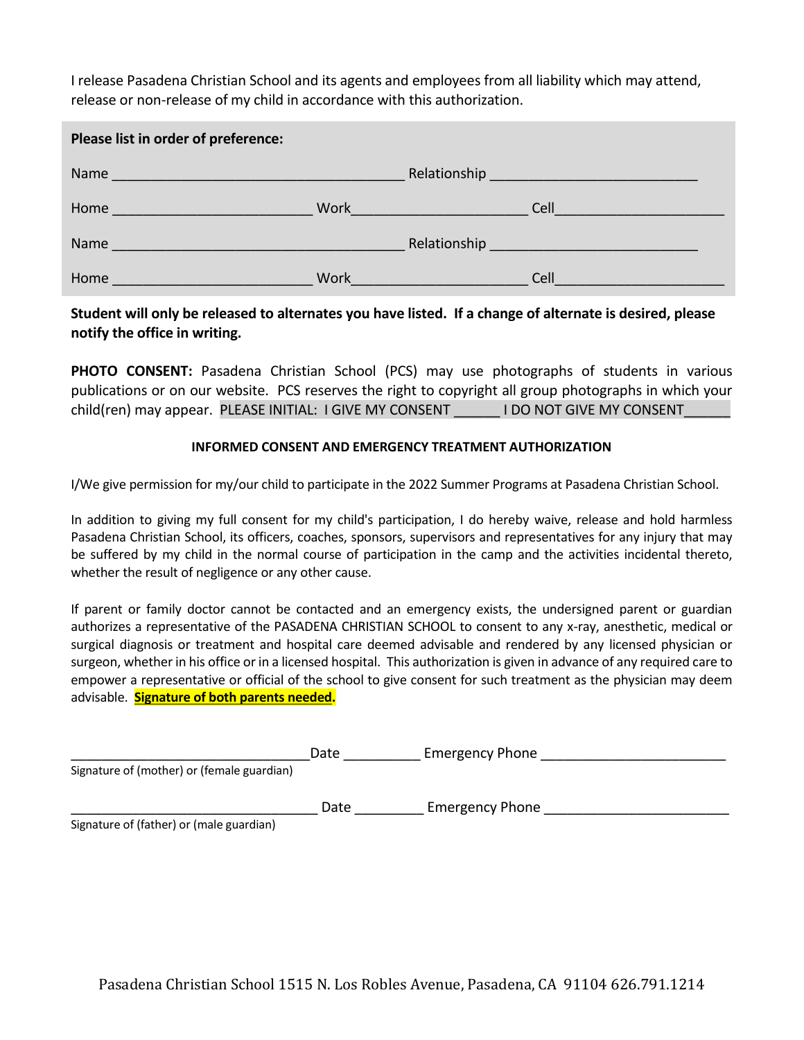I release Pasadena Christian School and its agents and employees from all liability which may attend, release or non-release of my child in accordance with this authorization.

| Please list in order of preference:                                                                                                                                                                                                      |      |                                                                                                                                                                                                                                      |                                                                                                                                                                                                                                      |  |  |  |
|------------------------------------------------------------------------------------------------------------------------------------------------------------------------------------------------------------------------------------------|------|--------------------------------------------------------------------------------------------------------------------------------------------------------------------------------------------------------------------------------------|--------------------------------------------------------------------------------------------------------------------------------------------------------------------------------------------------------------------------------------|--|--|--|
|                                                                                                                                                                                                                                          |      |                                                                                                                                                                                                                                      | Relationship experience and the set of the set of the set of the set of the set of the set of the set of the s                                                                                                                       |  |  |  |
| Home                                                                                                                                                                                                                                     | Work | <u> Alban a shekara ta 1989 a shekara ta 1989 a shekara ta 1989 a shekara ta 1989 a shekara ta 1989 a shekara ta 1989 a shekara ta 1989 a shekara ta 1989 a shekara ta 1989 a shekara ta 1989 a shekara ta 1989 a shekara ta 198</u> | Cell <u>the contract of the contract of the contract of the contract of the contract of the contract of the contract of the contract of the contract of the contract of the contract of the contract of the contract of the cont</u> |  |  |  |
| Name<br>a di sebagai kecamatan di sebagai kecamatan dari sebagai kecamatan dari sebagai kecamatan dan bersama dalam ke<br>Kecamatan dalam kecamatan dan bersama dalam kecamatan dan bersama dan bersama dan bersama dan bersama dalam ke |      |                                                                                                                                                                                                                                      | Relationship News Assessment Property and Property Assessment Property and Property Assessment Property and Pr                                                                                                                       |  |  |  |
| Home                                                                                                                                                                                                                                     | Work | <u> La Carlo de la Carlo de la Carlo de la Carlo de la Carlo de la Carlo de la Carlo de la Carlo de la Carlo de l</u>                                                                                                                | Cell                                                                                                                                                                                                                                 |  |  |  |

#### **Student will only be released to alternates you have listed. If a change of alternate is desired, please notify the office in writing.**

**PHOTO CONSENT:** Pasadena Christian School (PCS) may use photographs of students in various publications or on our website. PCS reserves the right to copyright all group photographs in which your child(ren) may appear. PLEASE INITIAL: I GIVE MY CONSENT LOO NOT GIVE MY CONSENT

#### **INFORMED CONSENT AND EMERGENCY TREATMENT AUTHORIZATION**

I/We give permission for my/our child to participate in the 2022 Summer Programs at Pasadena Christian School.

In addition to giving my full consent for my child's participation, I do hereby waive, release and hold harmless Pasadena Christian School, its officers, coaches, sponsors, supervisors and representatives for any injury that may be suffered by my child in the normal course of participation in the camp and the activities incidental thereto, whether the result of negligence or any other cause.

If parent or family doctor cannot be contacted and an emergency exists, the undersigned parent or guardian authorizes a representative of the PASADENA CHRISTIAN SCHOOL to consent to any x-ray, anesthetic, medical or surgical diagnosis or treatment and hospital care deemed advisable and rendered by any licensed physician or surgeon, whether in his office or in a licensed hospital. This authorization is given in advance of any required care to empower a representative or official of the school to give consent for such treatment as the physician may deem advisable. **Signature of both parents needed.**

|                                            | Date | <b>Emergency Phone</b> |
|--------------------------------------------|------|------------------------|
| Signature of (mother) or (female guardian) |      |                        |
|                                            | Date | <b>Emergency Phone</b> |
| Signature of (father) or (male guardian)   |      |                        |